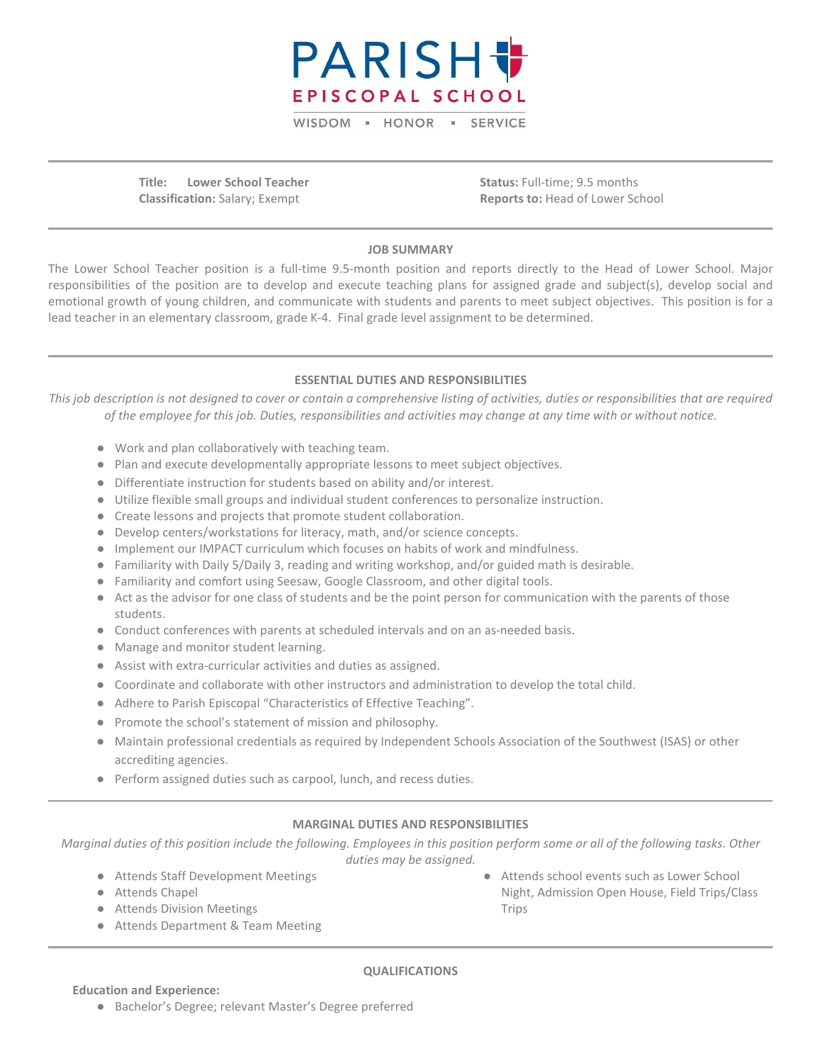

WISDOM - HONOR - SERVICE

**Title: Lower School Teacher Classification:** Salary; Exempt

**Status:** Full-time; 9.5 months **Reports to:** Head of Lower School

# **JOB SUMMARY**

The Lower School Teacher position is a full-time 9.5-month position and reports directly to the Head of Lower School. Major responsibilities of the position are to develop and execute teaching plans for assigned grade and subject(s), develop social and emotional growth of young children, and communicate with students and parents to meet subject objectives. This position is for a lead teacher in an elementary classroom, grade K-4. Final grade level assignment to be determined.

## **ESSENTIAL DUTIES AND RESPONSIBILITIES**

*This job description is not designed to cover or contain a comprehensive listing of activities, duties or responsibilities that are required of the employee for this job. Duties, responsibilities and activities may change at any time with or without notice.*

- Work and plan collaboratively with teaching team.
- Plan and execute developmentally appropriate lessons to meet subject objectives.
- Differentiate instruction for students based on ability and/or interest.
- Utilize flexible small groups and individual student conferences to personalize instruction.
- Create lessons and projects that promote student collaboration.
- Develop centers/workstations for literacy, math, and/or science concepts.
- Implement our IMPACT curriculum which focuses on habits of work and mindfulness.
- Familiarity with Daily 5/Daily 3, reading and writing workshop, and/or guided math is desirable.
- Familiarity and comfort using Seesaw, Google Classroom, and other digital tools.
- Act as the advisor for one class of students and be the point person for communication with the parents of those students.
- Conduct conferences with parents at scheduled intervals and on an as-needed basis.
- Manage and monitor student learning.
- Assist with extra-curricular activities and duties as assigned.
- Coordinate and collaborate with other instructors and administration to develop the total child.
- Adhere to Parish Episcopal "Characteristics of Effective Teaching".
- Promote the school's statement of mission and philosophy.
- Maintain professional credentials as required by Independent Schools Association of the Southwest (ISAS) or other accrediting agencies.
- Perform assigned duties such as carpool, lunch, and recess duties.

### **MARGINAL DUTIES AND RESPONSIBILITIES**

*Marginal duties of this position include the following. Employees in this position perform some or all of the following tasks. Other duties may be assigned.*

- Attends Staff Development Meetings
- Attends Chapel
- Attends Division Meetings
- Attends Department & Team Meeting

● Attends school events such as Lower School Night, Admission Open House, Field Trips/Class Trips

### **QUALIFICATIONS**

- **Education and Experience:**
	- Bachelor's Degree; relevant Master's Degree preferred